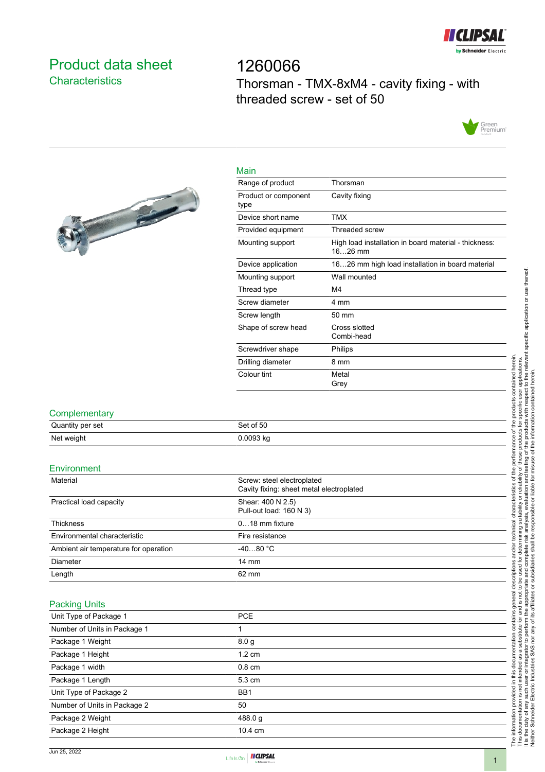

### <span id="page-0-0"></span>Product data sheet **Characteristics**

1260066 Thorsman - TMX-8xM4 - cavity fixing - with threaded screw - set of 50



# 

| Main                         |                                                                    |
|------------------------------|--------------------------------------------------------------------|
| Range of product             | Thorsman                                                           |
| Product or component<br>type | Cavity fixing                                                      |
| Device short name            | <b>TMX</b>                                                         |
| Provided equipment           | Threaded screw                                                     |
| Mounting support             | High load installation in board material - thickness:<br>$1626$ mm |
| Device application           | 1626 mm high load installation in board material                   |
| Mounting support             | Wall mounted                                                       |
| Thread type                  | M4                                                                 |
| Screw diameter               | 4 mm                                                               |
| Screw length                 | 50 mm                                                              |
| Shape of screw head          | Cross slotted<br>Combi-head                                        |
| Screwdriver shape            | Philips                                                            |
| Drilling diameter            | 8 mm                                                               |
| Colour tint                  | Metal<br>Grey                                                      |

#### **Complementary**

| Quantity per set | Set of 50 |
|------------------|-----------|
| Net weight       | 0.0093 kg |

#### **Environment**

| Material                              | Screw: steel electroplated<br>Cavity fixing: sheet metal electroplated |  |
|---------------------------------------|------------------------------------------------------------------------|--|
| Practical load capacity               | Shear: 400 N 2.5)<br>Pull-out load: 160 N 3)                           |  |
| <b>Thickness</b>                      | $018$ mm fixture                                                       |  |
| Environmental characteristic          | Fire resistance                                                        |  |
| Ambient air temperature for operation | $-4080 °C$                                                             |  |
| Diameter                              | $14 \text{ mm}$                                                        |  |
| Length                                | 62 mm                                                                  |  |

#### Packing Units

| Unit Type of Package 1       | <b>PCE</b>       |  |
|------------------------------|------------------|--|
| Number of Units in Package 1 |                  |  |
| Package 1 Weight             | 8.0 <sub>q</sub> |  |
| Package 1 Height             | $1.2 \text{ cm}$ |  |
| Package 1 width              | $0.8 \text{ cm}$ |  |
| Package 1 Length             | $5.3 \text{ cm}$ |  |
| Unit Type of Package 2       | BB <sub>1</sub>  |  |
| Number of Units in Package 2 | 50               |  |
| Package 2 Weight             | 488.0 g          |  |
| Package 2 Height             | 10.4 cm          |  |